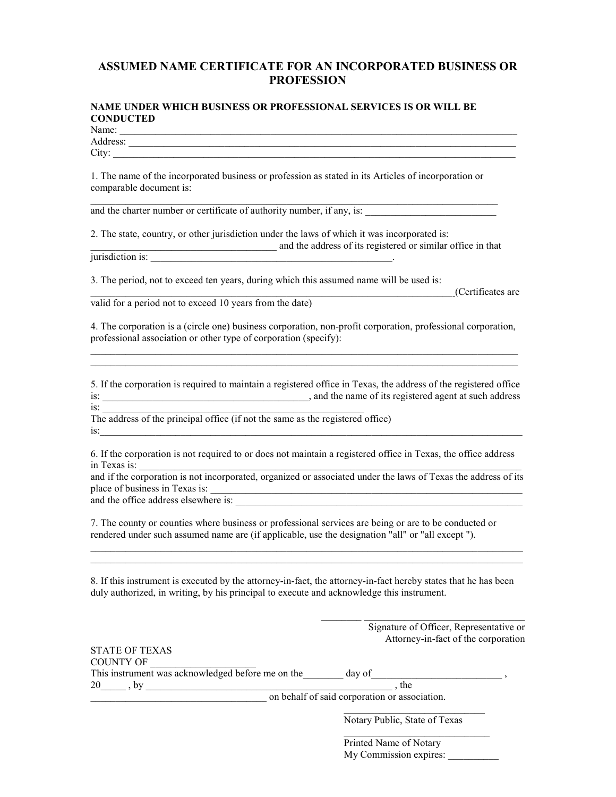## ASSUMED NAME CERTIFICATE FOR AN INCORPORATED BUSINESS OR PROFESSION

## NAME UNDER WHICH BUSINESS OR PROFESSIONAL SERVICES IS OR WILL BE **CONDUCTED**

Name: \_\_\_\_\_\_\_\_\_\_\_\_\_\_\_\_\_\_\_\_\_\_\_\_\_\_\_\_\_\_\_\_\_\_\_\_\_\_\_\_\_\_\_\_\_\_\_\_\_\_\_\_\_\_\_\_\_\_\_\_\_\_\_\_\_\_\_\_\_\_\_\_\_\_\_\_\_\_\_ Address: \_\_\_\_\_\_\_\_\_\_\_\_\_\_\_\_\_\_\_\_\_\_\_\_\_\_\_\_\_\_\_\_\_\_\_\_\_\_\_\_\_\_\_\_\_\_\_\_\_\_\_\_\_\_\_\_\_\_\_\_\_\_\_\_\_\_\_\_\_\_\_\_\_\_\_\_\_

 $\rm City:$ 

1. The name of the incorporated business or profession as stated in its Articles of incorporation or comparable document is:

and the charter number or certificate of authority number, if any, is:

2. The state, country, or other jurisdiction under the laws of which it was incorporated is:

 $\mathcal{L}_\mathcal{L} = \{ \mathcal{L}_\mathcal{L} = \{ \mathcal{L}_\mathcal{L} = \{ \mathcal{L}_\mathcal{L} = \{ \mathcal{L}_\mathcal{L} = \{ \mathcal{L}_\mathcal{L} = \{ \mathcal{L}_\mathcal{L} = \{ \mathcal{L}_\mathcal{L} = \{ \mathcal{L}_\mathcal{L} = \{ \mathcal{L}_\mathcal{L} = \{ \mathcal{L}_\mathcal{L} = \{ \mathcal{L}_\mathcal{L} = \{ \mathcal{L}_\mathcal{L} = \{ \mathcal{L}_\mathcal{L} = \{ \mathcal{L}_\mathcal{$ 

and the address of its registered or similar office in that jurisdiction is: \_\_\_\_\_\_\_\_\_\_\_\_\_\_\_\_\_\_\_\_\_\_\_\_\_\_\_\_\_\_\_\_\_\_\_\_\_\_\_\_\_\_\_\_\_\_\_\_.

3. The period, not to exceed ten years, during which this assumed name will be used is:

valid for a period not to exceed 10 years from the date)

4. The corporation is a (circle one) business corporation, non-profit corporation, professional corporation, professional association or other type of corporation (specify):  $\_$  ,  $\_$  ,  $\_$  ,  $\_$  ,  $\_$  ,  $\_$  ,  $\_$  ,  $\_$  ,  $\_$  ,  $\_$  ,  $\_$  ,  $\_$  ,  $\_$  ,  $\_$  ,  $\_$  ,  $\_$  ,  $\_$  ,  $\_$  ,  $\_$  ,  $\_$  ,  $\_$  ,  $\_$  ,  $\_$  ,  $\_$  ,  $\_$  ,  $\_$  ,  $\_$  ,  $\_$  ,  $\_$  ,  $\_$  ,  $\_$  ,  $\_$  ,  $\_$  ,  $\_$  ,  $\_$  ,  $\_$  ,  $\_$  ,

5. If the corporation is required to maintain a registered office in Texas, the address of the registered office is: \_\_\_\_\_\_\_\_\_\_\_\_\_\_\_\_\_\_\_\_\_\_\_\_\_\_\_\_\_\_\_\_\_\_\_\_\_\_\_\_\_, and the name of its registered agent at such address

\_\_\_\_\_\_\_\_\_\_\_\_\_\_\_\_\_\_\_\_\_\_\_\_\_\_\_\_\_\_\_\_\_\_\_\_\_\_\_\_\_\_\_\_\_\_\_\_\_\_\_\_\_\_\_\_\_\_\_\_\_\_\_\_\_\_\_\_\_\_\_\_\_\_\_\_\_\_\_\_\_\_\_\_\_

 $\operatorname{is:}$   $\Box$ The address of the principal office (if not the same as the registered office)  $i$ s:

6. If the corporation is not required to or does not maintain a registered office in Texas, the office address in Texas is:

and if the corporation is not incorporated, organized or associated under the laws of Texas the address of its place of business in Texas is: \_\_\_\_\_\_\_\_\_\_\_\_\_\_\_\_\_\_\_\_\_\_\_\_\_\_\_\_\_\_\_\_\_\_\_\_\_\_\_\_\_\_\_\_\_\_\_\_\_\_\_\_\_\_\_\_\_\_\_\_\_\_

and the office address elsewhere is:

7. The county or counties where business or professional services are being or are to be conducted or rendered under such assumed name are (if applicable, use the designation "all" or "all except ").

8. If this instrument is executed by the attorney-in-fact, the attorney-in-fact hereby states that he has been duly authorized, in writing, by his principal to execute and acknowledge this instrument.

 $\mathcal{L}_\mathcal{L} = \{ \mathcal{L}_\mathcal{L} = \{ \mathcal{L}_\mathcal{L} = \{ \mathcal{L}_\mathcal{L} = \{ \mathcal{L}_\mathcal{L} = \{ \mathcal{L}_\mathcal{L} = \{ \mathcal{L}_\mathcal{L} = \{ \mathcal{L}_\mathcal{L} = \{ \mathcal{L}_\mathcal{L} = \{ \mathcal{L}_\mathcal{L} = \{ \mathcal{L}_\mathcal{L} = \{ \mathcal{L}_\mathcal{L} = \{ \mathcal{L}_\mathcal{L} = \{ \mathcal{L}_\mathcal{L} = \{ \mathcal{L}_\mathcal{$  $\mathcal{L}_\mathcal{L} = \{ \mathcal{L}_\mathcal{L} = \{ \mathcal{L}_\mathcal{L} = \{ \mathcal{L}_\mathcal{L} = \{ \mathcal{L}_\mathcal{L} = \{ \mathcal{L}_\mathcal{L} = \{ \mathcal{L}_\mathcal{L} = \{ \mathcal{L}_\mathcal{L} = \{ \mathcal{L}_\mathcal{L} = \{ \mathcal{L}_\mathcal{L} = \{ \mathcal{L}_\mathcal{L} = \{ \mathcal{L}_\mathcal{L} = \{ \mathcal{L}_\mathcal{L} = \{ \mathcal{L}_\mathcal{L} = \{ \mathcal{L}_\mathcal{$ 

|                                                   | Signature of Officer, Representative or<br>Attorney-in-fact of the corporation |
|---------------------------------------------------|--------------------------------------------------------------------------------|
| <b>STATE OF TEXAS</b>                             |                                                                                |
| <b>COUNTY OF</b>                                  |                                                                                |
| This instrument was acknowledged before me on the | day of                                                                         |
| 20<br>by                                          | the                                                                            |
|                                                   | on behalf of said corporation or association.                                  |

Notary Public, State of Texas

\_\_\_\_\_\_\_\_\_\_\_\_\_\_\_\_\_\_\_\_\_\_\_\_\_\_\_\_\_ Printed Name of Notary My Commission expires:

\_\_\_\_\_\_\_\_\_\_\_\_\_\_\_\_\_\_\_\_\_\_\_\_\_\_\_\_\_\_\_\_\_\_\_\_\_\_\_\_\_\_\_\_\_\_\_\_\_\_\_\_\_\_\_\_\_\_\_\_\_\_\_\_\_\_\_\_\_\_\_\_ (Certificates are